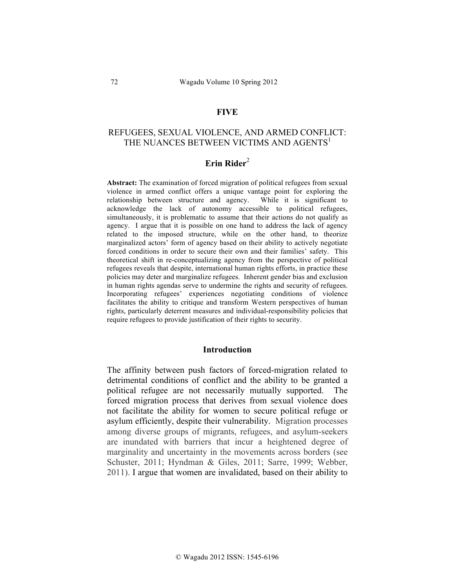### **FIVE**

# REFUGEES, SEXUAL VIOLENCE, AND ARMED CONFLICT: THE NUANCES BETWEEN VICTIMS AND AGENTS<sup>1</sup>

# **Erin Rider**<sup>2</sup>

**Abstract:** The examination of forced migration of political refugees from sexual violence in armed conflict offers a unique vantage point for exploring the relationship between structure and agency. While it is significant to acknowledge the lack of autonomy accessible to political refugees, simultaneously, it is problematic to assume that their actions do not qualify as agency. I argue that it is possible on one hand to address the lack of agency related to the imposed structure, while on the other hand, to theorize marginalized actors' form of agency based on their ability to actively negotiate forced conditions in order to secure their own and their families' safety. This theoretical shift in re-conceptualizing agency from the perspective of political refugees reveals that despite, international human rights efforts, in practice these policies may deter and marginalize refugees. Inherent gender bias and exclusion in human rights agendas serve to undermine the rights and security of refugees. Incorporating refugees' experiences negotiating conditions of violence facilitates the ability to critique and transform Western perspectives of human rights, particularly deterrent measures and individual-responsibility policies that require refugees to provide justification of their rights to security.

#### **Introduction**

The affinity between push factors of forced-migration related to detrimental conditions of conflict and the ability to be granted a political refugee are not necessarily mutually supported. The forced migration process that derives from sexual violence does not facilitate the ability for women to secure political refuge or asylum efficiently, despite their vulnerability. Migration processes among diverse groups of migrants, refugees, and asylum-seekers are inundated with barriers that incur a heightened degree of marginality and uncertainty in the movements across borders (see Schuster, 2011; Hyndman & Giles, 2011; Sarre, 1999; Webber, 2011). I argue that women are invalidated, based on their ability to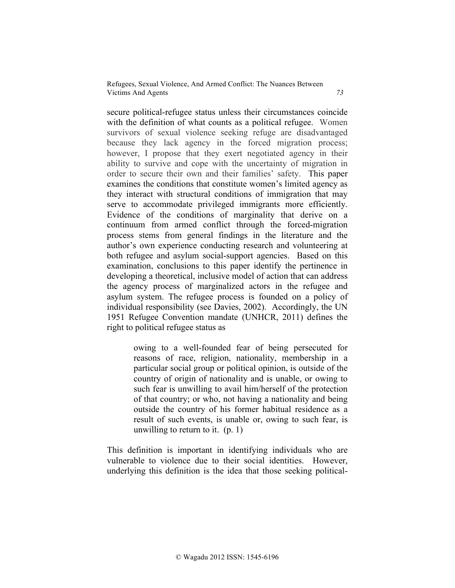secure political-refugee status unless their circumstances coincide with the definition of what counts as a political refugee. Women survivors of sexual violence seeking refuge are disadvantaged because they lack agency in the forced migration process; however, I propose that they exert negotiated agency in their ability to survive and cope with the uncertainty of migration in order to secure their own and their families' safety. This paper examines the conditions that constitute women's limited agency as they interact with structural conditions of immigration that may serve to accommodate privileged immigrants more efficiently. Evidence of the conditions of marginality that derive on a continuum from armed conflict through the forced-migration process stems from general findings in the literature and the author's own experience conducting research and volunteering at both refugee and asylum social-support agencies. Based on this examination, conclusions to this paper identify the pertinence in developing a theoretical, inclusive model of action that can address the agency process of marginalized actors in the refugee and asylum system. The refugee process is founded on a policy of individual responsibility (see Davies, 2002). Accordingly, the UN 1951 Refugee Convention mandate (UNHCR, 2011) defines the right to political refugee status as

> owing to a well-founded fear of being persecuted for reasons of race, religion, nationality, membership in a particular social group or political opinion, is outside of the country of origin of nationality and is unable, or owing to such fear is unwilling to avail him/herself of the protection of that country; or who, not having a nationality and being outside the country of his former habitual residence as a result of such events, is unable or, owing to such fear, is unwilling to return to it. (p. 1)

This definition is important in identifying individuals who are vulnerable to violence due to their social identities. However, underlying this definition is the idea that those seeking political-

© Wagadu 2012 ISSN: 1545-6196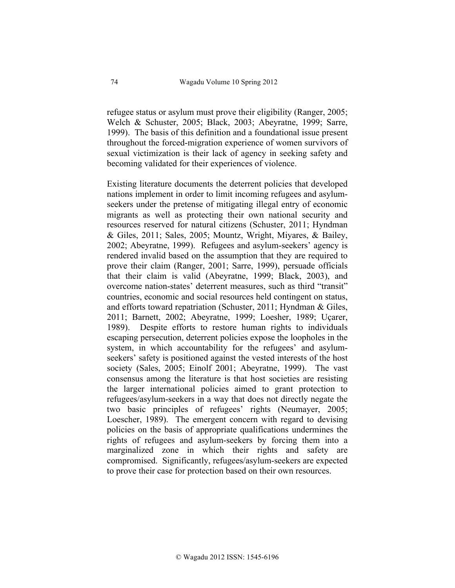refugee status or asylum must prove their eligibility (Ranger, 2005; Welch & Schuster, 2005; Black, 2003; Abeyratne, 1999; Sarre, 1999). The basis of this definition and a foundational issue present throughout the forced-migration experience of women survivors of sexual victimization is their lack of agency in seeking safety and becoming validated for their experiences of violence.

Existing literature documents the deterrent policies that developed nations implement in order to limit incoming refugees and asylumseekers under the pretense of mitigating illegal entry of economic migrants as well as protecting their own national security and resources reserved for natural citizens (Schuster, 2011; Hyndman & Giles, 2011; Sales, 2005; Mountz, Wright, Miyares, & Bailey, 2002; Abeyratne, 1999). Refugees and asylum-seekers' agency is rendered invalid based on the assumption that they are required to prove their claim (Ranger, 2001; Sarre, 1999), persuade officials that their claim is valid (Abeyratne, 1999; Black, 2003), and overcome nation-states' deterrent measures, such as third "transit" countries, economic and social resources held contingent on status, and efforts toward repatriation (Schuster, 2011; Hyndman & Giles, 2011; Barnett, 2002; Abeyratne, 1999; Loesher, 1989; Uçarer, 1989). Despite efforts to restore human rights to individuals escaping persecution, deterrent policies expose the loopholes in the system, in which accountability for the refugees' and asylumseekers' safety is positioned against the vested interests of the host society (Sales, 2005; Einolf 2001; Abeyratne, 1999). The vast consensus among the literature is that host societies are resisting the larger international policies aimed to grant protection to refugees/asylum-seekers in a way that does not directly negate the two basic principles of refugees' rights (Neumayer, 2005; Loescher, 1989). The emergent concern with regard to devising policies on the basis of appropriate qualifications undermines the rights of refugees and asylum-seekers by forcing them into a marginalized zone in which their rights and safety are compromised. Significantly, refugees/asylum-seekers are expected to prove their case for protection based on their own resources.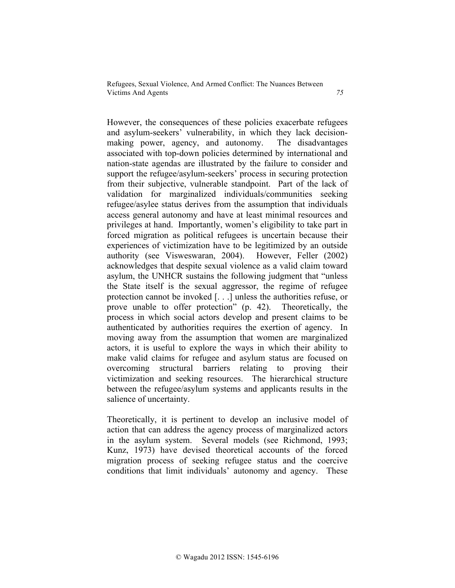However, the consequences of these policies exacerbate refugees and asylum-seekers' vulnerability, in which they lack decisionmaking power, agency, and autonomy. The disadvantages associated with top-down policies determined by international and nation-state agendas are illustrated by the failure to consider and support the refugee/asylum-seekers' process in securing protection from their subjective, vulnerable standpoint. Part of the lack of validation for marginalized individuals/communities seeking refugee/asylee status derives from the assumption that individuals access general autonomy and have at least minimal resources and privileges at hand. Importantly, women's eligibility to take part in forced migration as political refugees is uncertain because their experiences of victimization have to be legitimized by an outside authority (see Visweswaran, 2004). However, Feller (2002) acknowledges that despite sexual violence as a valid claim toward asylum, the UNHCR sustains the following judgment that "unless the State itself is the sexual aggressor, the regime of refugee protection cannot be invoked [. . .] unless the authorities refuse, or prove unable to offer protection" (p. 42). Theoretically, the process in which social actors develop and present claims to be authenticated by authorities requires the exertion of agency. In moving away from the assumption that women are marginalized actors, it is useful to explore the ways in which their ability to make valid claims for refugee and asylum status are focused on overcoming structural barriers relating to proving their victimization and seeking resources. The hierarchical structure between the refugee/asylum systems and applicants results in the salience of uncertainty.

Theoretically, it is pertinent to develop an inclusive model of action that can address the agency process of marginalized actors in the asylum system. Several models (see Richmond, 1993; Kunz, 1973) have devised theoretical accounts of the forced migration process of seeking refugee status and the coercive conditions that limit individuals' autonomy and agency. These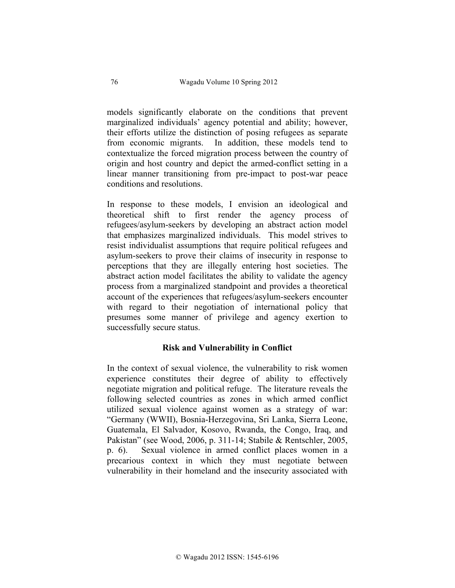models significantly elaborate on the conditions that prevent marginalized individuals' agency potential and ability; however, their efforts utilize the distinction of posing refugees as separate from economic migrants. In addition, these models tend to contextualize the forced migration process between the country of origin and host country and depict the armed-conflict setting in a linear manner transitioning from pre-impact to post-war peace conditions and resolutions.

In response to these models, I envision an ideological and theoretical shift to first render the agency process of refugees/asylum-seekers by developing an abstract action model that emphasizes marginalized individuals. This model strives to resist individualist assumptions that require political refugees and asylum-seekers to prove their claims of insecurity in response to perceptions that they are illegally entering host societies. The abstract action model facilitates the ability to validate the agency process from a marginalized standpoint and provides a theoretical account of the experiences that refugees/asylum-seekers encounter with regard to their negotiation of international policy that presumes some manner of privilege and agency exertion to successfully secure status.

### **Risk and Vulnerability in Conflict**

In the context of sexual violence, the vulnerability to risk women experience constitutes their degree of ability to effectively negotiate migration and political refuge. The literature reveals the following selected countries as zones in which armed conflict utilized sexual violence against women as a strategy of war: "Germany (WWII), Bosnia-Herzegovina, Sri Lanka, Sierra Leone, Guatemala, El Salvador, Kosovo, Rwanda, the Congo, Iraq, and Pakistan" (see Wood, 2006, p. 311-14; Stabile & Rentschler, 2005, p. 6). Sexual violence in armed conflict places women in a precarious context in which they must negotiate between vulnerability in their homeland and the insecurity associated with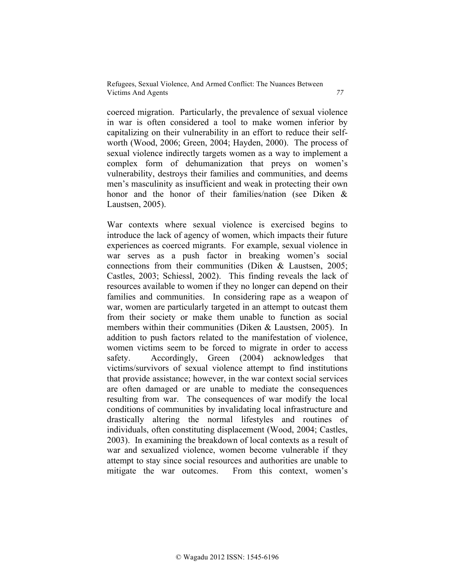coerced migration. Particularly, the prevalence of sexual violence in war is often considered a tool to make women inferior by capitalizing on their vulnerability in an effort to reduce their selfworth (Wood, 2006; Green, 2004; Hayden, 2000). The process of sexual violence indirectly targets women as a way to implement a complex form of dehumanization that preys on women's vulnerability, destroys their families and communities, and deems men's masculinity as insufficient and weak in protecting their own honor and the honor of their families/nation (see Diken & Laustsen, 2005).

War contexts where sexual violence is exercised begins to introduce the lack of agency of women, which impacts their future experiences as coerced migrants. For example, sexual violence in war serves as a push factor in breaking women's social connections from their communities (Diken & Laustsen, 2005; Castles, 2003; Schiessl, 2002). This finding reveals the lack of resources available to women if they no longer can depend on their families and communities. In considering rape as a weapon of war, women are particularly targeted in an attempt to outcast them from their society or make them unable to function as social members within their communities (Diken & Laustsen, 2005). In addition to push factors related to the manifestation of violence, women victims seem to be forced to migrate in order to access safety. Accordingly, Green (2004) acknowledges that victims/survivors of sexual violence attempt to find institutions that provide assistance; however, in the war context social services are often damaged or are unable to mediate the consequences resulting from war. The consequences of war modify the local conditions of communities by invalidating local infrastructure and drastically altering the normal lifestyles and routines of individuals, often constituting displacement (Wood, 2004; Castles, 2003). In examining the breakdown of local contexts as a result of war and sexualized violence, women become vulnerable if they attempt to stay since social resources and authorities are unable to mitigate the war outcomes. From this context, women's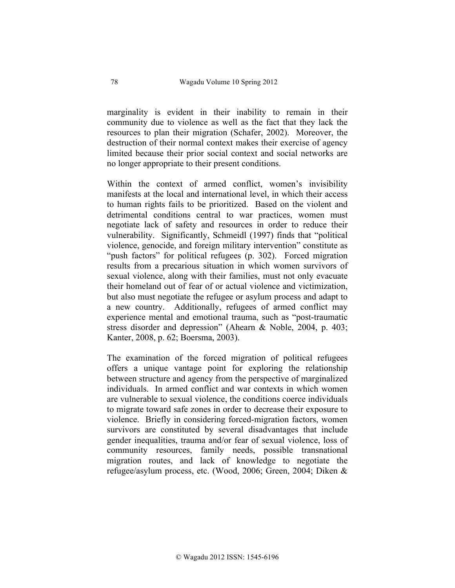marginality is evident in their inability to remain in their community due to violence as well as the fact that they lack the resources to plan their migration (Schafer, 2002). Moreover, the destruction of their normal context makes their exercise of agency limited because their prior social context and social networks are no longer appropriate to their present conditions.

Within the context of armed conflict, women's invisibility manifests at the local and international level, in which their access to human rights fails to be prioritized. Based on the violent and detrimental conditions central to war practices, women must negotiate lack of safety and resources in order to reduce their vulnerability. Significantly, Schmeidl (1997) finds that "political violence, genocide, and foreign military intervention" constitute as "push factors" for political refugees (p. 302). Forced migration results from a precarious situation in which women survivors of sexual violence, along with their families, must not only evacuate their homeland out of fear of or actual violence and victimization, but also must negotiate the refugee or asylum process and adapt to a new country. Additionally, refugees of armed conflict may experience mental and emotional trauma, such as "post-traumatic stress disorder and depression" (Ahearn & Noble, 2004, p. 403; Kanter, 2008, p. 62; Boersma, 2003).

The examination of the forced migration of political refugees offers a unique vantage point for exploring the relationship between structure and agency from the perspective of marginalized individuals. In armed conflict and war contexts in which women are vulnerable to sexual violence, the conditions coerce individuals to migrate toward safe zones in order to decrease their exposure to violence. Briefly in considering forced-migration factors, women survivors are constituted by several disadvantages that include gender inequalities, trauma and/or fear of sexual violence, loss of community resources, family needs, possible transnational migration routes, and lack of knowledge to negotiate the refugee/asylum process, etc. (Wood, 2006; Green, 2004; Diken &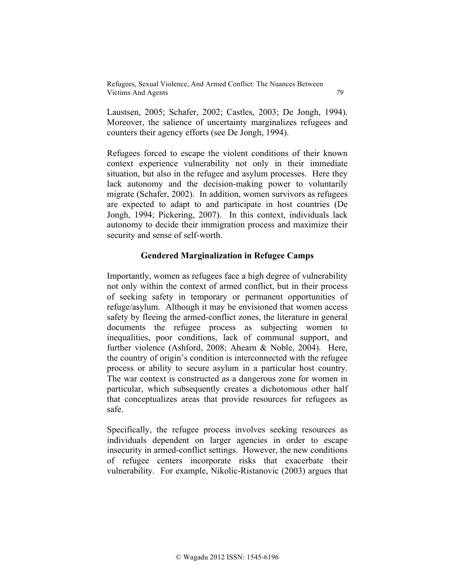Laustsen, 2005; Schafer, 2002; Castles, 2003; De Jongh, 1994). Moreover, the salience of uncertainty marginalizes refugees and counters their agency efforts (see De Jongh, 1994).

Refugees forced to escape the violent conditions of their known context experience vulnerability not only in their immediate situation, but also in the refugee and asylum processes. Here they lack autonomy and the decision-making power to voluntarily migrate (Schafer, 2002). In addition, women survivors as refugees are expected to adapt to and participate in host countries (De Jongh, 1994; Pickering, 2007). In this context, individuals lack autonomy to decide their immigration process and maximize their security and sense of self-worth.

### **Gendered Marginalization in Refugee Camps**

Importantly, women as refugees face a high degree of vulnerability not only within the context of armed conflict, but in their process of seeking safety in temporary or permanent opportunities of refuge/asylum. Although it may be envisioned that women access safety by fleeing the armed-conflict zones, the literature in general documents the refugee process as subjecting women to inequalities, poor conditions, lack of communal support, and further violence (Ashford, 2008; Ahearn & Noble, 2004). Here, the country of origin's condition is interconnected with the refugee process or ability to secure asylum in a particular host country. The war context is constructed as a dangerous zone for women in particular, which subsequently creates a dichotomous other half that conceptualizes areas that provide resources for refugees as safe.

Specifically, the refugee process involves seeking resources as individuals dependent on larger agencies in order to escape insecurity in armed-conflict settings. However, the new conditions of refugee centers incorporate risks that exacerbate their vulnerability. For example, Nikolic-Ristanovic (2003) argues that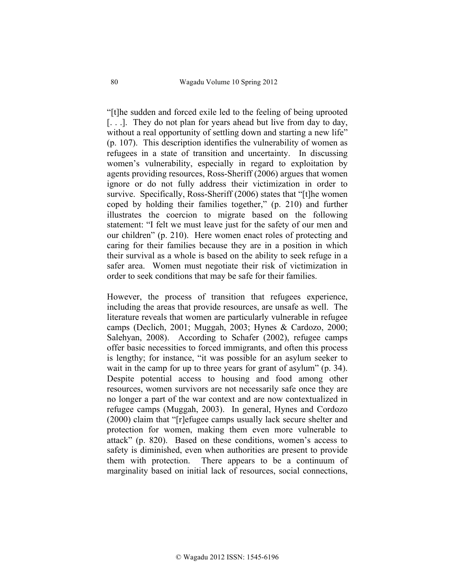"[t]he sudden and forced exile led to the feeling of being uprooted [...]. They do not plan for years ahead but live from day to day, without a real opportunity of settling down and starting a new life" (p. 107). This description identifies the vulnerability of women as refugees in a state of transition and uncertainty. In discussing women's vulnerability, especially in regard to exploitation by agents providing resources, Ross-Sheriff (2006) argues that women ignore or do not fully address their victimization in order to survive. Specifically, Ross-Sheriff (2006) states that "[t]he women coped by holding their families together," (p. 210) and further illustrates the coercion to migrate based on the following statement: "I felt we must leave just for the safety of our men and our children" (p. 210). Here women enact roles of protecting and caring for their families because they are in a position in which their survival as a whole is based on the ability to seek refuge in a safer area. Women must negotiate their risk of victimization in order to seek conditions that may be safe for their families.

However, the process of transition that refugees experience, including the areas that provide resources, are unsafe as well. The literature reveals that women are particularly vulnerable in refugee camps (Declich, 2001; Muggah, 2003; Hynes & Cardozo, 2000; Salehyan, 2008). According to Schafer (2002), refugee camps offer basic necessities to forced immigrants, and often this process is lengthy; for instance, "it was possible for an asylum seeker to wait in the camp for up to three years for grant of asylum" (p. 34). Despite potential access to housing and food among other resources, women survivors are not necessarily safe once they are no longer a part of the war context and are now contextualized in refugee camps (Muggah, 2003). In general, Hynes and Cordozo (2000) claim that "[r]efugee camps usually lack secure shelter and protection for women, making them even more vulnerable to attack" (p. 820). Based on these conditions, women's access to safety is diminished, even when authorities are present to provide them with protection. There appears to be a continuum of marginality based on initial lack of resources, social connections,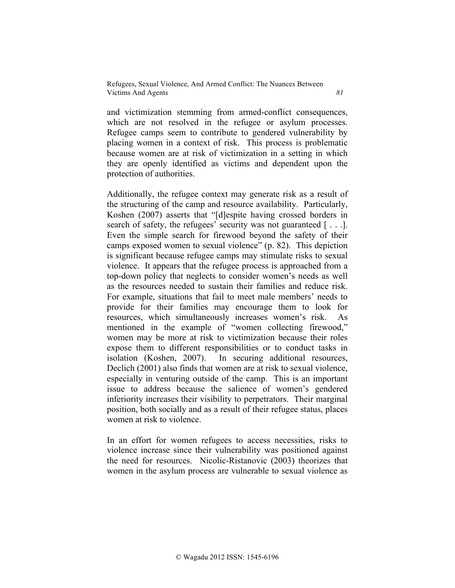and victimization stemming from armed-conflict consequences, which are not resolved in the refugee or asylum processes. Refugee camps seem to contribute to gendered vulnerability by placing women in a context of risk. This process is problematic because women are at risk of victimization in a setting in which they are openly identified as victims and dependent upon the protection of authorities.

Additionally, the refugee context may generate risk as a result of the structuring of the camp and resource availability. Particularly, Koshen (2007) asserts that "[d]espite having crossed borders in search of safety, the refugees' security was not guaranteed [...]. Even the simple search for firewood beyond the safety of their camps exposed women to sexual violence" (p. 82). This depiction is significant because refugee camps may stimulate risks to sexual violence. It appears that the refugee process is approached from a top-down policy that neglects to consider women's needs as well as the resources needed to sustain their families and reduce risk. For example, situations that fail to meet male members' needs to provide for their families may encourage them to look for resources, which simultaneously increases women's risk. As mentioned in the example of "women collecting firewood," women may be more at risk to victimization because their roles expose them to different responsibilities or to conduct tasks in isolation (Koshen, 2007). In securing additional resources, Declich (2001) also finds that women are at risk to sexual violence, especially in venturing outside of the camp. This is an important issue to address because the salience of women's gendered inferiority increases their visibility to perpetrators. Their marginal position, both socially and as a result of their refugee status, places women at risk to violence.

In an effort for women refugees to access necessities, risks to violence increase since their vulnerability was positioned against the need for resources. Nicolic-Ristanovic (2003) theorizes that women in the asylum process are vulnerable to sexual violence as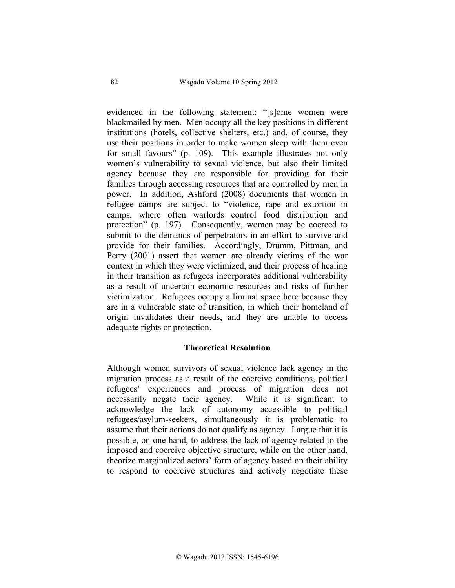evidenced in the following statement: "[s]ome women were blackmailed by men. Men occupy all the key positions in different institutions (hotels, collective shelters, etc.) and, of course, they use their positions in order to make women sleep with them even for small favours" (p. 109). This example illustrates not only women's vulnerability to sexual violence, but also their limited agency because they are responsible for providing for their families through accessing resources that are controlled by men in power. In addition, Ashford (2008) documents that women in refugee camps are subject to "violence, rape and extortion in camps, where often warlords control food distribution and protection" (p. 197). Consequently, women may be coerced to submit to the demands of perpetrators in an effort to survive and provide for their families. Accordingly, Drumm, Pittman, and Perry (2001) assert that women are already victims of the war context in which they were victimized, and their process of healing in their transition as refugees incorporates additional vulnerability as a result of uncertain economic resources and risks of further victimization. Refugees occupy a liminal space here because they are in a vulnerable state of transition, in which their homeland of origin invalidates their needs, and they are unable to access adequate rights or protection.

### **Theoretical Resolution**

Although women survivors of sexual violence lack agency in the migration process as a result of the coercive conditions, political refugees' experiences and process of migration does not necessarily negate their agency. While it is significant to acknowledge the lack of autonomy accessible to political refugees/asylum-seekers, simultaneously it is problematic to assume that their actions do not qualify as agency. I argue that it is possible, on one hand, to address the lack of agency related to the imposed and coercive objective structure, while on the other hand, theorize marginalized actors' form of agency based on their ability to respond to coercive structures and actively negotiate these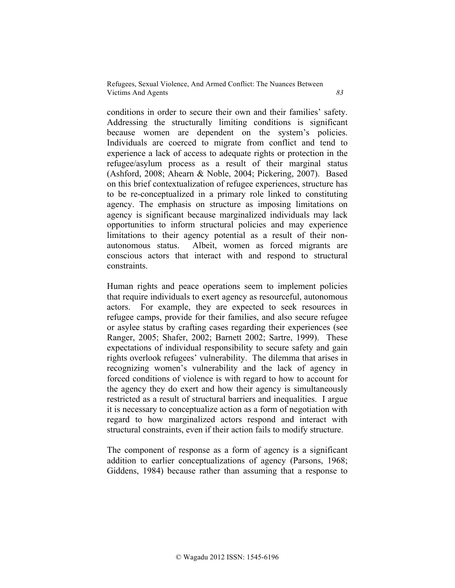conditions in order to secure their own and their families' safety. Addressing the structurally limiting conditions is significant because women are dependent on the system's policies. Individuals are coerced to migrate from conflict and tend to experience a lack of access to adequate rights or protection in the refugee/asylum process as a result of their marginal status (Ashford, 2008; Ahearn & Noble, 2004; Pickering, 2007). Based on this brief contextualization of refugee experiences, structure has to be re-conceptualized in a primary role linked to constituting agency. The emphasis on structure as imposing limitations on agency is significant because marginalized individuals may lack opportunities to inform structural policies and may experience limitations to their agency potential as a result of their nonautonomous status. Albeit, women as forced migrants are conscious actors that interact with and respond to structural constraints.

Human rights and peace operations seem to implement policies that require individuals to exert agency as resourceful, autonomous actors. For example, they are expected to seek resources in refugee camps, provide for their families, and also secure refugee or asylee status by crafting cases regarding their experiences (see Ranger, 2005; Shafer, 2002; Barnett 2002; Sartre, 1999). These expectations of individual responsibility to secure safety and gain rights overlook refugees' vulnerability. The dilemma that arises in recognizing women's vulnerability and the lack of agency in forced conditions of violence is with regard to how to account for the agency they do exert and how their agency is simultaneously restricted as a result of structural barriers and inequalities. I argue it is necessary to conceptualize action as a form of negotiation with regard to how marginalized actors respond and interact with structural constraints, even if their action fails to modify structure.

The component of response as a form of agency is a significant addition to earlier conceptualizations of agency (Parsons, 1968; Giddens, 1984) because rather than assuming that a response to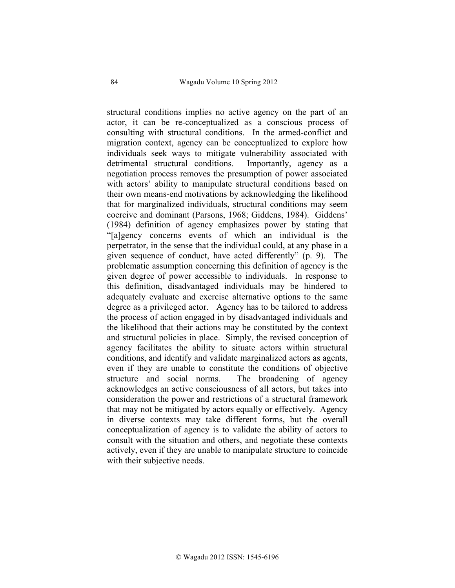structural conditions implies no active agency on the part of an actor, it can be re-conceptualized as a conscious process of consulting with structural conditions. In the armed-conflict and migration context, agency can be conceptualized to explore how individuals seek ways to mitigate vulnerability associated with detrimental structural conditions. Importantly, agency as a negotiation process removes the presumption of power associated with actors' ability to manipulate structural conditions based on their own means-end motivations by acknowledging the likelihood that for marginalized individuals, structural conditions may seem coercive and dominant (Parsons, 1968; Giddens, 1984). Giddens' (1984) definition of agency emphasizes power by stating that "[a]gency concerns events of which an individual is the perpetrator, in the sense that the individual could, at any phase in a given sequence of conduct, have acted differently" (p. 9). The problematic assumption concerning this definition of agency is the given degree of power accessible to individuals. In response to this definition, disadvantaged individuals may be hindered to adequately evaluate and exercise alternative options to the same degree as a privileged actor. Agency has to be tailored to address the process of action engaged in by disadvantaged individuals and the likelihood that their actions may be constituted by the context and structural policies in place. Simply, the revised conception of agency facilitates the ability to situate actors within structural conditions, and identify and validate marginalized actors as agents, even if they are unable to constitute the conditions of objective structure and social norms. The broadening of agency acknowledges an active consciousness of all actors, but takes into consideration the power and restrictions of a structural framework that may not be mitigated by actors equally or effectively. Agency in diverse contexts may take different forms, but the overall conceptualization of agency is to validate the ability of actors to consult with the situation and others, and negotiate these contexts actively, even if they are unable to manipulate structure to coincide with their subjective needs.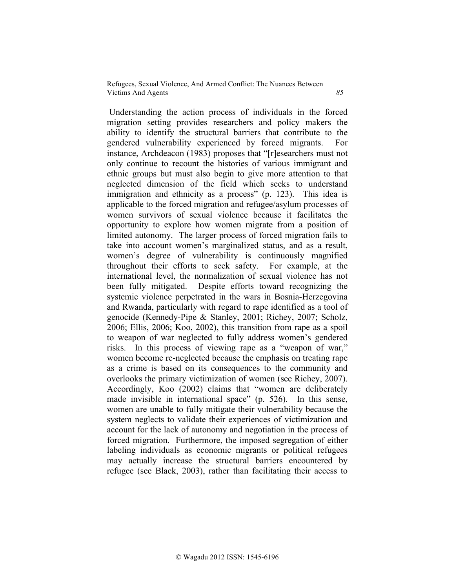Understanding the action process of individuals in the forced migration setting provides researchers and policy makers the ability to identify the structural barriers that contribute to the gendered vulnerability experienced by forced migrants. For instance, Archdeacon (1983) proposes that "[r]esearchers must not only continue to recount the histories of various immigrant and ethnic groups but must also begin to give more attention to that neglected dimension of the field which seeks to understand immigration and ethnicity as a process" (p. 123). This idea is applicable to the forced migration and refugee/asylum processes of women survivors of sexual violence because it facilitates the opportunity to explore how women migrate from a position of limited autonomy. The larger process of forced migration fails to take into account women's marginalized status, and as a result, women's degree of vulnerability is continuously magnified throughout their efforts to seek safety. For example, at the international level, the normalization of sexual violence has not been fully mitigated. Despite efforts toward recognizing the systemic violence perpetrated in the wars in Bosnia-Herzegovina and Rwanda, particularly with regard to rape identified as a tool of genocide (Kennedy-Pipe & Stanley, 2001; Richey, 2007; Scholz, 2006; Ellis, 2006; Koo, 2002), this transition from rape as a spoil to weapon of war neglected to fully address women's gendered risks. In this process of viewing rape as a "weapon of war," women become re-neglected because the emphasis on treating rape as a crime is based on its consequences to the community and overlooks the primary victimization of women (see Richey, 2007). Accordingly, Koo (2002) claims that "women are deliberately made invisible in international space" (p. 526). In this sense, women are unable to fully mitigate their vulnerability because the system neglects to validate their experiences of victimization and account for the lack of autonomy and negotiation in the process of forced migration. Furthermore, the imposed segregation of either labeling individuals as economic migrants or political refugees may actually increase the structural barriers encountered by refugee (see Black, 2003), rather than facilitating their access to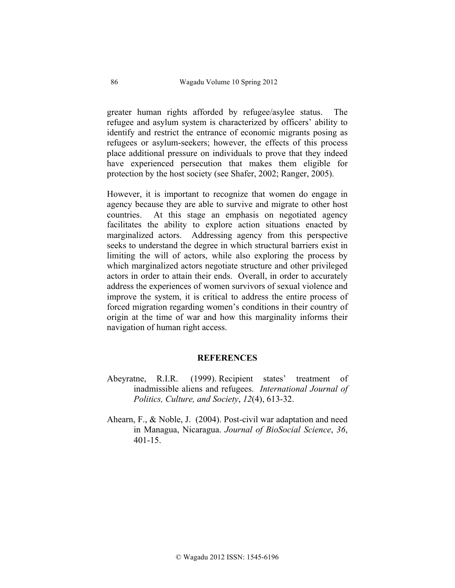greater human rights afforded by refugee/asylee status. The refugee and asylum system is characterized by officers' ability to identify and restrict the entrance of economic migrants posing as refugees or asylum-seekers; however, the effects of this process place additional pressure on individuals to prove that they indeed have experienced persecution that makes them eligible for protection by the host society (see Shafer, 2002; Ranger, 2005).

However, it is important to recognize that women do engage in agency because they are able to survive and migrate to other host countries. At this stage an emphasis on negotiated agency facilitates the ability to explore action situations enacted by marginalized actors. Addressing agency from this perspective seeks to understand the degree in which structural barriers exist in limiting the will of actors, while also exploring the process by which marginalized actors negotiate structure and other privileged actors in order to attain their ends. Overall, in order to accurately address the experiences of women survivors of sexual violence and improve the system, it is critical to address the entire process of forced migration regarding women's conditions in their country of origin at the time of war and how this marginality informs their navigation of human right access.

#### **REFERENCES**

- Abeyratne, R.I.R. (1999). Recipient states' treatment of inadmissible aliens and refugees. *International Journal of Politics, Culture, and Society*, *12*(4), 613-32.
- Ahearn, F., & Noble, J. (2004). Post-civil war adaptation and need in Managua, Nicaragua. *Journal of BioSocial Science*, *36*, 401-15.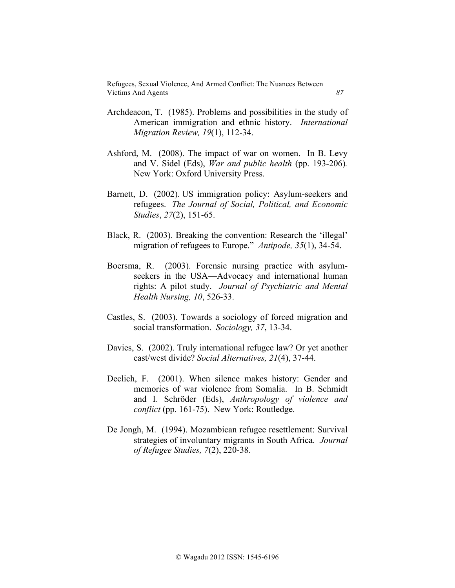- Archdeacon, T. (1985). Problems and possibilities in the study of American immigration and ethnic history. *International Migration Review, 19*(1), 112-34.
- Ashford, M. (2008). The impact of war on women. In B. Levy and V. Sidel (Eds), *War and public health* (pp. 193-206)*.* New York: Oxford University Press.
- Barnett, D. (2002). US immigration policy: Asylum-seekers and refugees. *The Journal of Social, Political, and Economic Studies*, *27*(2), 151-65.
- Black, R. (2003). Breaking the convention: Research the 'illegal' migration of refugees to Europe." *Antipode, 35*(1), 34-54.
- Boersma, R. (2003). Forensic nursing practice with asylumseekers in the USA—Advocacy and international human rights: A pilot study. *Journal of Psychiatric and Mental Health Nursing, 10*, 526-33.
- Castles, S. (2003). Towards a sociology of forced migration and social transformation. *Sociology, 37*, 13-34.
- Davies, S. (2002). Truly international refugee law? Or yet another east/west divide? *Social Alternatives, 21*(4), 37-44.
- Declich, F. (2001). When silence makes history: Gender and memories of war violence from Somalia. In B. Schmidt and I. Schröder (Eds), *Anthropology of violence and conflict* (pp. 161-75). New York: Routledge.
- De Jongh, M. (1994). Mozambican refugee resettlement: Survival strategies of involuntary migrants in South Africa. *Journal of Refugee Studies, 7*(2), 220-38.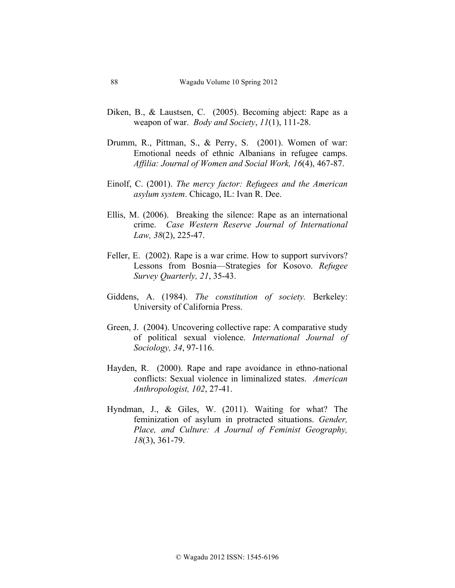- Diken, B., & Laustsen, C. (2005). Becoming abject: Rape as a weapon of war. *Body and Society*, *11*(1), 111-28.
- Drumm, R., Pittman, S., & Perry, S. (2001). Women of war: Emotional needs of ethnic Albanians in refugee camps. *Affilia: Journal of Women and Social Work, 16*(4), 467-87.
- Einolf, C. (2001). *The mercy factor: Refugees and the American asylum system*. Chicago, IL: Ivan R. Dee.
- Ellis, M. (2006). Breaking the silence: Rape as an international crime. *Case Western Reserve Journal of International Law, 38*(2), 225-47.
- Feller, E. (2002). Rape is a war crime. How to support survivors? Lessons from Bosnia—Strategies for Kosovo. *Refugee Survey Quarterly, 21*, 35-43.
- Giddens, A. (1984). *The constitution of society.* Berkeley: University of California Press.
- Green, J. (2004). Uncovering collective rape: A comparative study of political sexual violence. *International Journal of Sociology, 34*, 97-116.
- Hayden, R. (2000). Rape and rape avoidance in ethno-national conflicts: Sexual violence in liminalized states. *American Anthropologist, 102*, 27-41.
- Hyndman, J., & Giles, W. (2011). Waiting for what? The feminization of asylum in protracted situations. *Gender, Place, and Culture: A Journal of Feminist Geography, 18*(3), 361-79.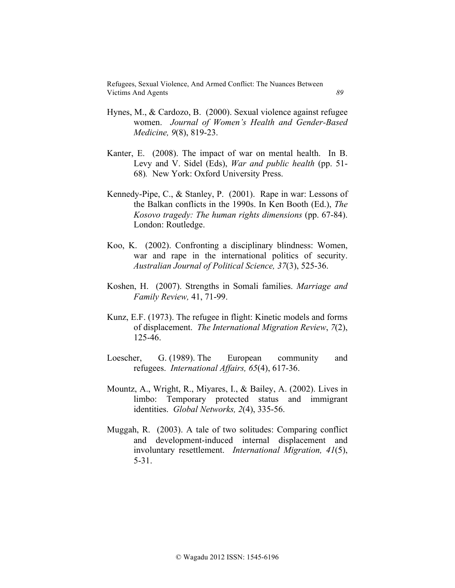- Hynes, M., & Cardozo, B. (2000). Sexual violence against refugee women. *Journal of Women's Health and Gender-Based Medicine, 9*(8), 819-23.
- Kanter, E. (2008). The impact of war on mental health. In B. Levy and V. Sidel (Eds), *War and public health* (pp. 51- 68)*.* New York: Oxford University Press.
- Kennedy-Pipe, C., & Stanley, P. (2001). Rape in war: Lessons of the Balkan conflicts in the 1990s. In Ken Booth (Ed.), *The Kosovo tragedy: The human rights dimensions* (pp. 67-84). London: Routledge.
- Koo, K. (2002). Confronting a disciplinary blindness: Women, war and rape in the international politics of security. *Australian Journal of Political Science, 37*(3), 525-36.
- Koshen, H. (2007). Strengths in Somali families. *Marriage and Family Review,* 41, 71-99.
- Kunz, E.F. (1973). The refugee in flight: Kinetic models and forms of displacement. *The International Migration Review*, *7*(2), 125-46.
- Loescher, G. (1989). The European community and refugees. *International Affairs, 65*(4), 617-36.
- Mountz, A., Wright, R., Miyares, I., & Bailey, A. (2002). Lives in limbo: Temporary protected status and immigrant identities. *Global Networks, 2*(4), 335-56.
- Muggah, R. (2003). A tale of two solitudes: Comparing conflict and development-induced internal displacement and involuntary resettlement. *International Migration, 41*(5), 5-31.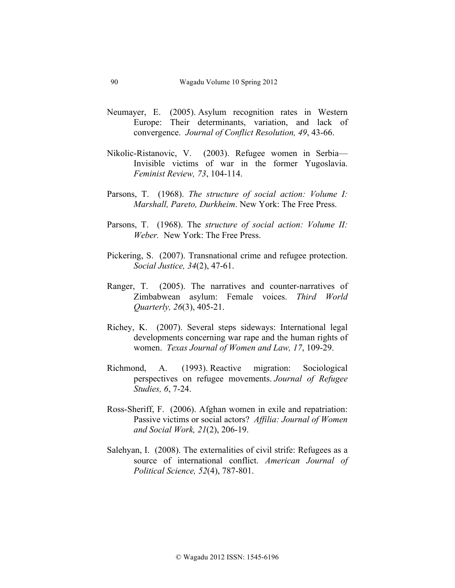- Neumayer, E. (2005). Asylum recognition rates in Western Europe: Their determinants, variation, and lack of convergence. *Journal of Conflict Resolution, 49*, 43-66.
- Nikolic-Ristanovic, V. (2003). Refugee women in Serbia— Invisible victims of war in the former Yugoslavia. *Feminist Review, 73*, 104-114.
- Parsons, T. (1968). *The structure of social action: Volume I: Marshall, Pareto, Durkheim*. New York: The Free Press.
- Parsons, T. (1968). The *structure of social action: Volume II: Weber.* New York: The Free Press.
- Pickering, S. (2007). Transnational crime and refugee protection. *Social Justice, 34*(2), 47-61.
- Ranger, T. (2005). The narratives and counter-narratives of Zimbabwean asylum: Female voices. *Third World Quarterly, 26*(3), 405-21.
- Richey, K. (2007). Several steps sideways: International legal developments concerning war rape and the human rights of women. *Texas Journal of Women and Law, 17*, 109-29.
- Richmond, A. (1993). Reactive migration: Sociological perspectives on refugee movements. *Journal of Refugee Studies, 6*, 7-24.
- Ross-Sheriff, F. (2006). Afghan women in exile and repatriation: Passive victims or social actors? *Affilia: Journal of Women and Social Work, 21*(2), 206-19.
- Salehyan, I. (2008). The externalities of civil strife: Refugees as a source of international conflict. *American Journal of Political Science, 52*(4), 787-801.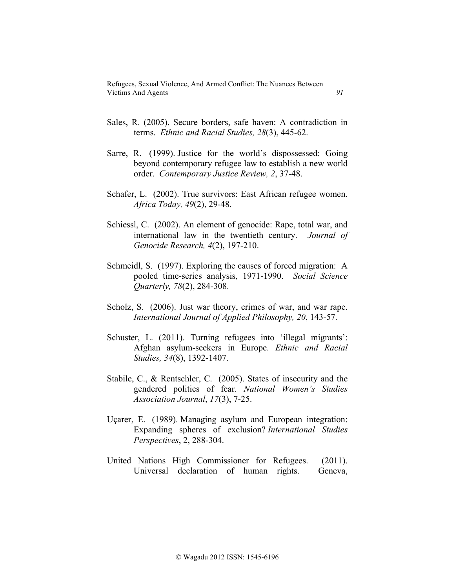- Sales, R. (2005). Secure borders, safe haven: A contradiction in terms. *Ethnic and Racial Studies, 28*(3), 445-62.
- Sarre, R. (1999). Justice for the world's dispossessed: Going beyond contemporary refugee law to establish a new world order. *Contemporary Justice Review, 2*, 37-48.
- Schafer, L. (2002). True survivors: East African refugee women. *Africa Today, 49*(2), 29-48.
- Schiessl, C. (2002). An element of genocide: Rape, total war, and international law in the twentieth century. *Journal of Genocide Research, 4*(2), 197-210.
- Schmeidl, S. (1997). Exploring the causes of forced migration: A pooled time-series analysis, 1971-1990. *Social Science Quarterly, 78*(2), 284-308.
- Scholz, S. (2006). Just war theory, crimes of war, and war rape. *International Journal of Applied Philosophy, 20*, 143-57.
- Schuster, L. (2011). Turning refugees into 'illegal migrants': Afghan asylum-seekers in Europe. *Ethnic and Racial Studies, 34*(8), 1392-1407.
- Stabile, C., & Rentschler, C. (2005). States of insecurity and the gendered politics of fear. *National Women's Studies Association Journal*, *17*(3), 7-25.
- Uçarer, E. (1989). Managing asylum and European integration: Expanding spheres of exclusion? *International Studies Perspectives*, 2, 288-304.
- United Nations High Commissioner for Refugees. (2011). Universal declaration of human rights. Geneva,